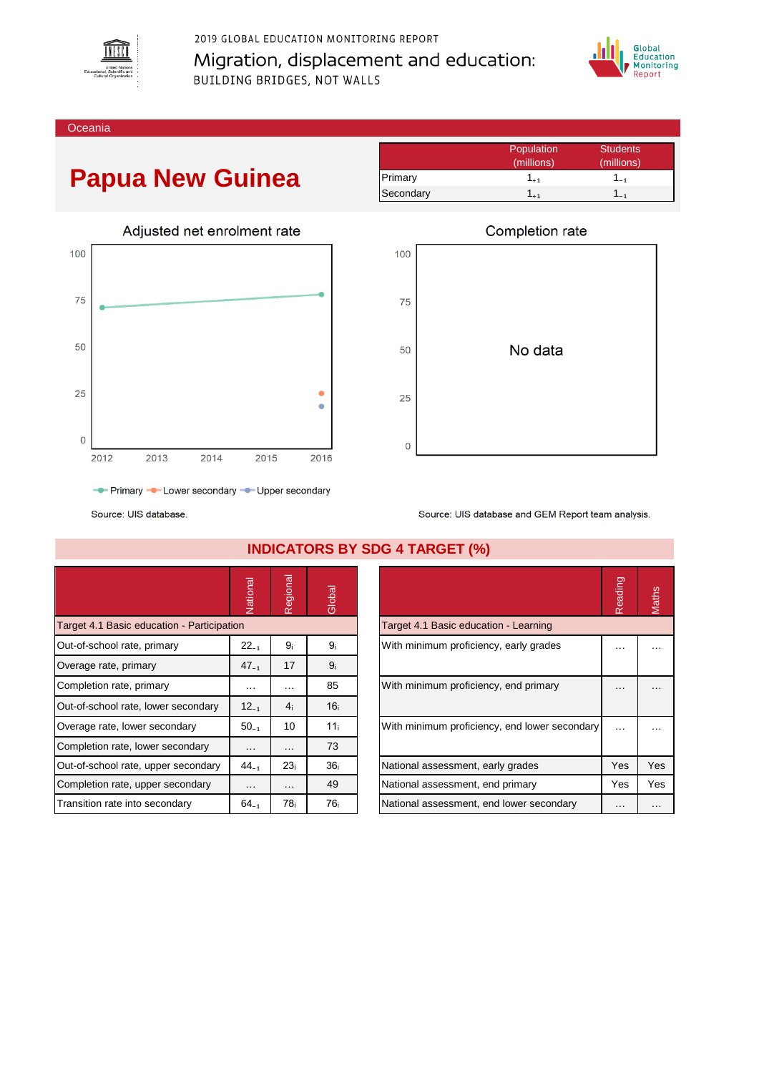

2019 GLOBAL EDUCATION MONITORING REPORT Migration, displacement and education: BUILDING BRIDGES, NOT WALLS



Oceania

## **Papua New Guinea**



|           | Population | <b>Students</b> |
|-----------|------------|-----------------|
|           | (millions) | (millions)      |
| Primary   | 1+1        | $-1$            |
| Secondary |            |                 |



Source: UIS database

|                                            | Vational  | Regional        | Global          |                                               | Reading   | Maths    |
|--------------------------------------------|-----------|-----------------|-----------------|-----------------------------------------------|-----------|----------|
|                                            |           |                 |                 |                                               |           |          |
| Target 4.1 Basic education - Participation |           |                 |                 | Target 4.1 Basic education - Learning         |           |          |
| Out-of-school rate, primary                | $22_{-1}$ | 9 <sub>i</sub>  | 9ì              | With minimum proficiency, early grades        | $\ddotsc$ | $\cdots$ |
| Overage rate, primary                      | $47_{-1}$ | 17              | 9 <sub>i</sub>  |                                               |           |          |
| Completion rate, primary                   | $\cdots$  | $\cdots$        | 85              | With minimum proficiency, end primary         | $\cdots$  |          |
| Out-of-school rate, lower secondary        | $12_{-1}$ | 4 <sub>i</sub>  | 16 <sub>i</sub> |                                               |           |          |
| Overage rate, lower secondary              | $50_{-1}$ | 10              | 11 <sub>i</sub> | With minimum proficiency, end lower secondary | $\cdots$  |          |
| Completion rate, lower secondary           | .         | $\cdots$        | 73              |                                               |           |          |
| Out-of-school rate, upper secondary        | $44_{-1}$ | 23 <sub>i</sub> | 36 <sub>i</sub> | National assessment, early grades             | Yes       | Yes      |
| Completion rate, upper secondary           | $\cdots$  | $\cdots$        | 49              | National assessment, end primary              | Yes       | Yes      |
| Transition rate into secondary             | $64_{-1}$ | 78 <sub>i</sub> | 76i             | National assessment, end lower secondary      | $\cdots$  | $\cdots$ |

## **INDICATORS BY SDG 4 TARGET (%)**

|                                               | Reading | laths |
|-----------------------------------------------|---------|-------|
| Target 4.1 Basic education - Learning         |         |       |
| With minimum proficiency, early grades        |         |       |
| With minimum proficiency, end primary         |         |       |
| With minimum proficiency, end lower secondary |         |       |
| National assessment, early grades             | Yes     | Yes   |
| National assessment, end primary              | Yes     | Yes   |
| National assessment, end lower secondary      |         |       |

Source: UIS database and GEM Report team analysis.